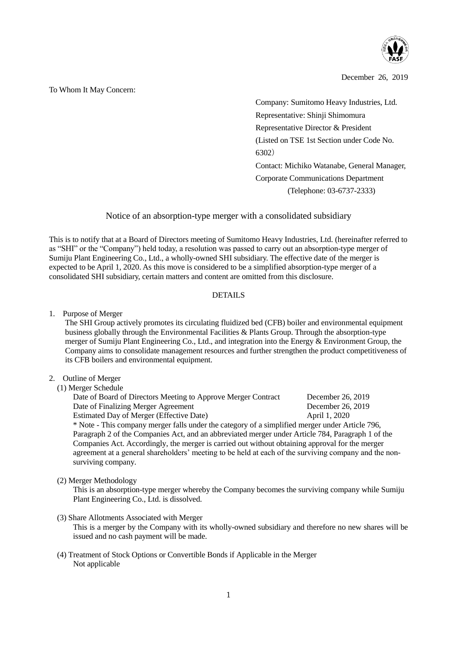

December 26, 2019

To Whom It May Concern:

Company: Sumitomo Heavy Industries, Ltd. Representative: Shinji Shimomura Representative Director & President (Listed on TSE 1st Section under Code No. 6302) Contact: Michiko Watanabe, General Manager, Corporate Communications Department (Telephone: 03-6737-2333)

## Notice of an absorption-type merger with a consolidated subsidiary

This is to notify that at a Board of Directors meeting of Sumitomo Heavy Industries, Ltd. (hereinafter referred to as "SHI" or the "Company") held today, a resolution was passed to carry out an absorption-type merger of Sumiju Plant Engineering Co., Ltd., a wholly-owned SHI subsidiary. The effective date of the merger is expected to be April 1, 2020. As this move is considered to be a simplified absorption-type merger of a consolidated SHI subsidiary, certain matters and content are omitted from this disclosure.

## DETAILS

1. Purpose of Merger

The SHI Group actively promotes its circulating fluidized bed (CFB) boiler and environmental equipment business globally through the Environmental Facilities & Plants Group. Through the absorption-type merger of Sumiju Plant Engineering Co., Ltd., and integration into the Energy & Environment Group, the Company aims to consolidate management resources and further strengthen the product competitiveness of its CFB boilers and environmental equipment.

## 2. Outline of Merger

(1) Merger Schedule

| Date of Board of Directors Meeting to Approve Merger Contract                                   | December 26, 2019 |  |  |
|-------------------------------------------------------------------------------------------------|-------------------|--|--|
| Date of Finalizing Merger Agreement                                                             | December 26, 2019 |  |  |
| Estimated Day of Merger (Effective Date)                                                        | April 1, 2020     |  |  |
| * Note - This company merger falls under the category of a simplified merger under Article 796, |                   |  |  |
| Paragraph 2 of the Companies Act, and an abbreviated merger under Article 784, Paragraph 1 of   |                   |  |  |

Paragraph 2 of the Companies Act, and an abbreviated merger under Article 784, Paragraph 1 of the Companies Act. Accordingly, the merger is carried out without obtaining approval for the merger agreement at a general shareholders' meeting to be held at each of the surviving company and the nonsurviving company.

(2) Merger Methodology

This is an absorption-type merger whereby the Company becomes the surviving company while Sumiju Plant Engineering Co., Ltd. is dissolved.

(3) Share Allotments Associated with Merger

This is a merger by the Company with its wholly-owned subsidiary and therefore no new shares will be issued and no cash payment will be made.

(4) Treatment of Stock Options or Convertible Bonds if Applicable in the Merger Not applicable